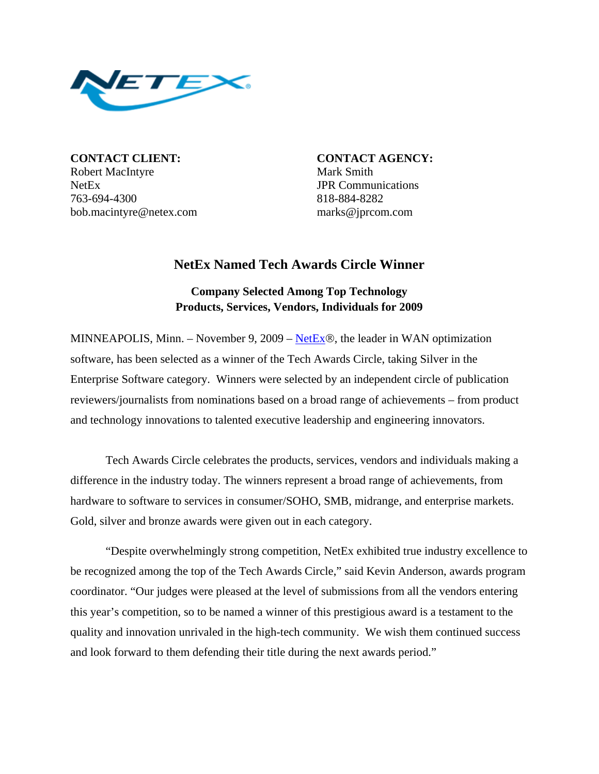

**CONTACT CLIENT: CONTACT AGENCY:** Robert MacIntyre Mark Smith NetEx JPR Communications 763-694-4300 818-884-8282 bob.macintyre@netex.com marks@jprcom.com

## **NetEx Named Tech Awards Circle Winner**

## **Company Selected Among Top Technology Products, Services, Vendors, Individuals for 2009**

MINNEAPOLIS, Minn. – November 9, 2009 – NetEx®, the leader in WAN optimization software, has been selected as a winner of the Tech Awards Circle, taking Silver in the Enterprise Software category. Winners were selected by an independent circle of publication reviewers/journalists from nominations based on a broad range of achievements – from product and technology innovations to talented executive leadership and engineering innovators.

Tech Awards Circle celebrates the products, services, vendors and individuals making a difference in the industry today. The winners represent a broad range of achievements, from hardware to software to services in consumer/SOHO, SMB, midrange, and enterprise markets. Gold, silver and bronze awards were given out in each category.

"Despite overwhelmingly strong competition, NetEx exhibited true industry excellence to be recognized among the top of the Tech Awards Circle," said Kevin Anderson, awards program coordinator. "Our judges were pleased at the level of submissions from all the vendors entering this year's competition, so to be named a winner of this prestigious award is a testament to the quality and innovation unrivaled in the high-tech community. We wish them continued success and look forward to them defending their title during the next awards period."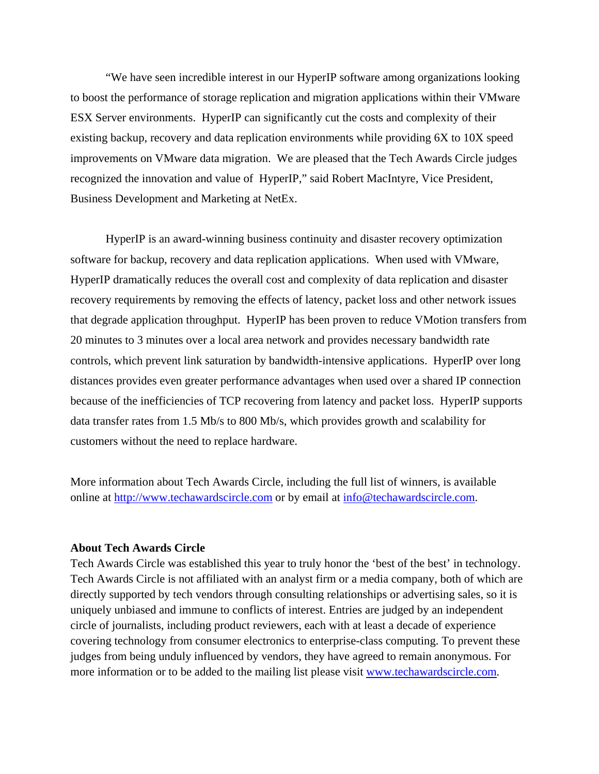"We have seen incredible interest in our HyperIP software among organizations looking to boost the performance of storage replication and migration applications within their VMware ESX Server environments. HyperIP can significantly cut the costs and complexity of their existing backup, recovery and data replication environments while providing 6X to 10X speed improvements on VMware data migration. We are pleased that the Tech Awards Circle judges recognized the innovation and value of HyperIP," said Robert MacIntyre, Vice President, Business Development and Marketing at NetEx.

HyperIP is an award-winning business continuity and disaster recovery optimization software for backup, recovery and data replication applications. When used with VMware, HyperIP dramatically reduces the overall cost and complexity of data replication and disaster recovery requirements by removing the effects of latency, packet loss and other network issues that degrade application throughput. HyperIP has been proven to reduce VMotion transfers from 20 minutes to 3 minutes over a local area network and provides necessary bandwidth rate controls, which prevent link saturation by bandwidth-intensive applications. HyperIP over long distances provides even greater performance advantages when used over a shared IP connection because of the inefficiencies of TCP recovering from latency and packet loss. HyperIP supports data transfer rates from 1.5 Mb/s to 800 Mb/s, which provides growth and scalability for customers without the need to replace hardware.

More information about Tech Awards Circle, including the full list of winners, is available online at http://www.techawardscircle.com or by email at info@techawardscircle.com.

## **About Tech Awards Circle**

Tech Awards Circle was established this year to truly honor the 'best of the best' in technology. Tech Awards Circle is not affiliated with an analyst firm or a media company, both of which are directly supported by tech vendors through consulting relationships or advertising sales, so it is uniquely unbiased and immune to conflicts of interest. Entries are judged by an independent circle of journalists, including product reviewers, each with at least a decade of experience covering technology from consumer electronics to enterprise-class computing. To prevent these judges from being unduly influenced by vendors, they have agreed to remain anonymous. For more information or to be added to the mailing list please visit www.techawardscircle.com.